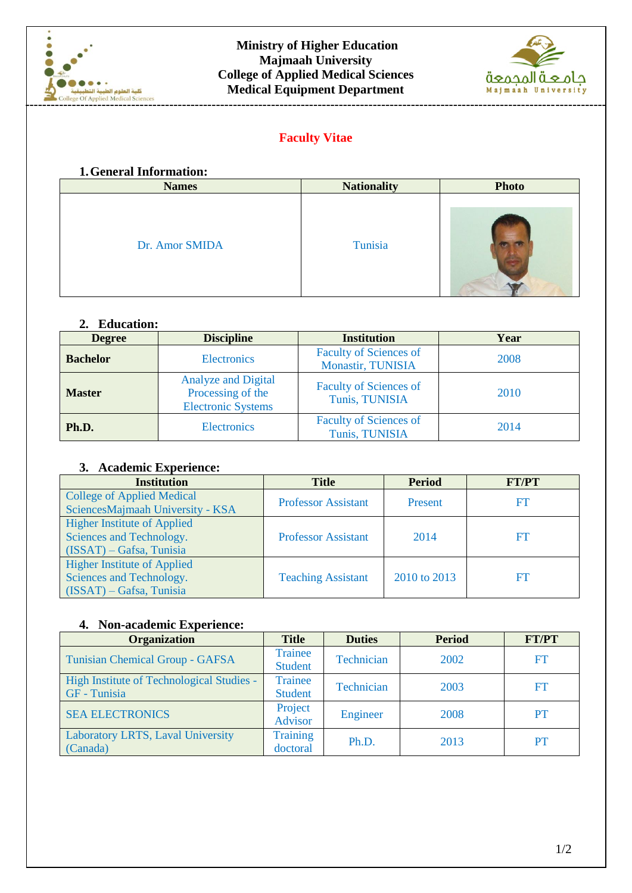



# **Faculty Vitae**

#### **1.General Information:**

| <b>Names</b>   | <b>Nationality</b> | <b>Photo</b> |
|----------------|--------------------|--------------|
| Dr. Amor SMIDA | Tunisia            |              |

# **2. Education:**

| <b>Degree</b>   | <b>Discipline</b>                                                            | <b>Institution</b>                                        | Year |
|-----------------|------------------------------------------------------------------------------|-----------------------------------------------------------|------|
| <b>Bachelor</b> | <b>Electronics</b>                                                           | <b>Faculty of Sciences of</b><br><b>Monastir, TUNISIA</b> | 2008 |
| <b>Master</b>   | <b>Analyze and Digital</b><br>Processing of the<br><b>Electronic Systems</b> | <b>Faculty of Sciences of</b><br>Tunis, TUNISIA           | 2010 |
| Ph.D.           | <b>Electronics</b>                                                           | <b>Faculty of Sciences of</b><br>Tunis, TUNISIA           | 2014 |

## **3. Academic Experience:**

| <b>Institution</b>                 | <b>Title</b>               | <b>Period</b> | <b>FT/PT</b> |  |
|------------------------------------|----------------------------|---------------|--------------|--|
| <b>College of Applied Medical</b>  | <b>Professor Assistant</b> | Present       | FT           |  |
| SciencesMajmaah University - KSA   |                            |               |              |  |
| <b>Higher Institute of Applied</b> |                            |               |              |  |
| Sciences and Technology.           | <b>Professor Assistant</b> | 2014          | FT           |  |
| $(ISSAT) - Gafsa, Tunisia$         |                            |               |              |  |
| <b>Higher Institute of Applied</b> |                            |               |              |  |
| Sciences and Technology.           | <b>Teaching Assistant</b>  | 2010 to 2013  | FT           |  |
| $(ISSAT) - Gafsa, Tunisia$         |                            |               |              |  |

## **4. Non-academic Experience:**

| <b>Organization</b>                       | <b>Title</b>    | <b>Duties</b> | <b>Period</b> | <b>FT/PT</b> |
|-------------------------------------------|-----------------|---------------|---------------|--------------|
| Tunisian Chemical Group - GAFSA           | Trainee         | Technician    | 2002          | FT           |
|                                           | Student         |               |               |              |
| High Institute of Technological Studies - | Trainee         | Technician    | 2003          | FT           |
| GF - Tunisia                              | <b>Student</b>  |               |               |              |
| <b>SEA ELECTRONICS</b>                    | Project         | Engineer      | 2008          | PT           |
|                                           | Advisor         |               |               |              |
| Laboratory LRTS, Laval University         | <b>Training</b> |               | 2013          | PT           |
| (Canada)                                  | doctoral        | Ph.D.         |               |              |